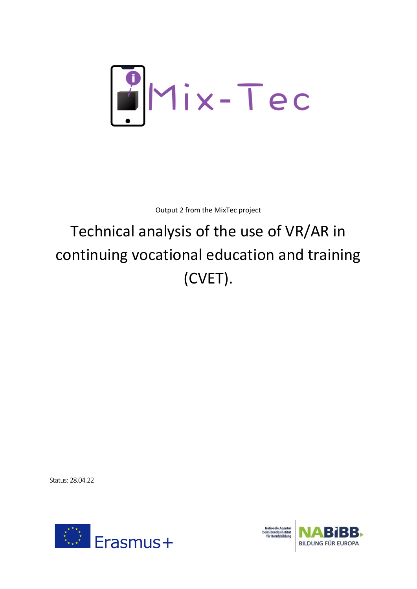

Output 2 from the MixTec project

# Technical analysis of the use of VR/AR in continuing vocational education and training (CVET).

Status: 28.04.22



**BILDUNG FÜR EUROPA**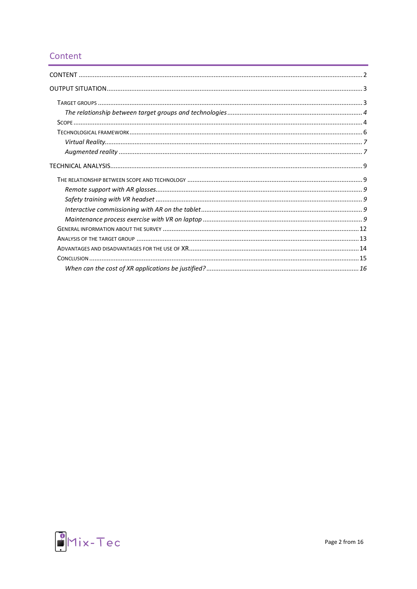# <span id="page-1-0"></span>Content

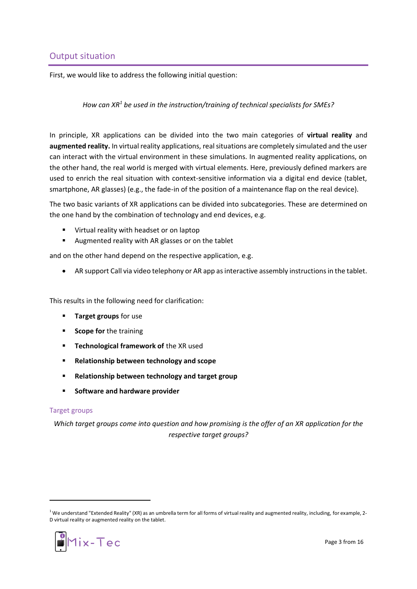## <span id="page-2-0"></span>Output situation

First, we would like to address the following initial question:

## *How can XR<sup>1</sup> be used in the instruction/training of technical specialists for SMEs?*

In principle, XR applications can be divided into the two main categories of **virtual reality** and **augmented reality.** In virtual reality applications, real situations are completely simulated and the user can interact with the virtual environment in these simulations. In augmented reality applications, on the other hand, the real world is merged with virtual elements. Here, previously defined markers are used to enrich the real situation with context-sensitive information via a digital end device (tablet, smartphone, AR glasses) (e.g., the fade-in of the position of a maintenance flap on the real device).

The two basic variants of XR applications can be divided into subcategories. These are determined on the one hand by the combination of technology and end devices, e.g.

- Virtual reality with headset or on laptop
- Augmented reality with AR glasses or on the tablet

and on the other hand depend on the respective application, e.g.

• AR support Call via video telephony or AR app as interactive assembly instructions in the tablet.

This results in the following need for clarification:

- **Target groups** for use
- **Scope for** the training
- **EXEDENTIFY Technological framework of the XR used**
- **Relationship between technology and scope**
- **Relationship between technology and target group**
- **Software and hardware provider**

#### <span id="page-2-1"></span>Target groups

*Which target groups come into question and how promising is the offer of an XR application for the respective target groups?*

 $1$  We understand "Extended Reality" (XR) as an umbrella term for all forms of virtual reality and augmented reality, including, for example, 2-D virtual reality or augmented reality on the tablet.

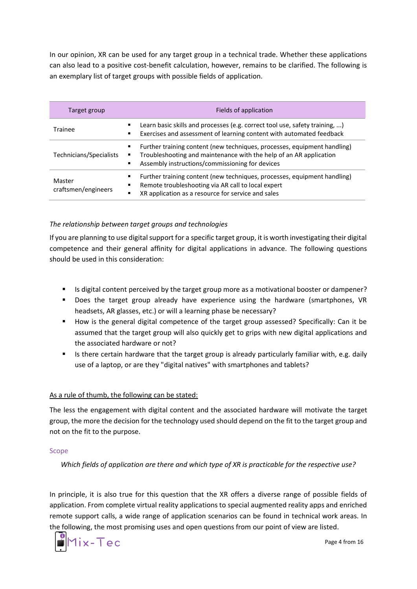In our opinion, XR can be used for any target group in a technical trade. Whether these applications can also lead to a positive cost-benefit calculation, however, remains to be clarified. The following is an exemplary list of target groups with possible fields of application.

| Target group                  | Fields of application                                                                                                                                                                             |  |
|-------------------------------|---------------------------------------------------------------------------------------------------------------------------------------------------------------------------------------------------|--|
| Trainee                       | Learn basic skills and processes (e.g. correct tool use, safety training, )<br>Exercises and assessment of learning content with automated feedback                                               |  |
| Technicians/Specialists       | Further training content (new techniques, processes, equipment handling)<br>Troubleshooting and maintenance with the help of an AR application<br>Assembly instructions/commissioning for devices |  |
| Master<br>craftsmen/engineers | Further training content (new techniques, processes, equipment handling)<br>Remote troubleshooting via AR call to local expert<br>XR application as a resource for service and sales<br>٠         |  |

## <span id="page-3-0"></span>*The relationship between target groups and technologies*

If you are planning to use digital support for a specific target group, it is worth investigating their digital competence and their general affinity for digital applications in advance. The following questions should be used in this consideration:

- Is digital content perceived by the target group more as a motivational booster or dampener?
- Does the target group already have experience using the hardware (smartphones, VR headsets, AR glasses, etc.) or will a learning phase be necessary?
- How is the general digital competence of the target group assessed? Specifically: Can it be assumed that the target group will also quickly get to grips with new digital applications and the associated hardware or not?
- Is there certain hardware that the target group is already particularly familiar with, e.g. daily use of a laptop, or are they "digital natives" with smartphones and tablets?

## As a rule of thumb, the following can be stated:

The less the engagement with digital content and the associated hardware will motivate the target group, the more the decision for the technology used should depend on the fit to the target group and not on the fit to the purpose.

#### <span id="page-3-1"></span>Scope

*Which fields of application are there and which type of XR is practicable for the respective use?*

In principle, it is also true for this question that the XR offers a diverse range of possible fields of application. From complete virtual reality applications to special augmented reality apps and enriched remote support calls, a wide range of application scenarios can be found in technical work areas. In the following, the most promising uses and open questions from our point of view are listed.



Page 4 from 16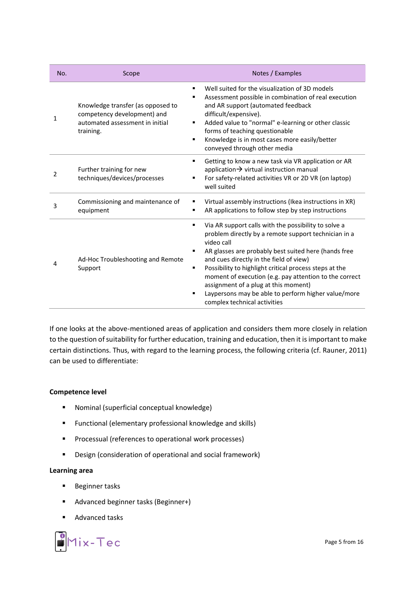| No. | Scope                                                                                                            | Notes / Examples                                                                                                                                                                                                                                                                                                                                                                                                                                                                                     |
|-----|------------------------------------------------------------------------------------------------------------------|------------------------------------------------------------------------------------------------------------------------------------------------------------------------------------------------------------------------------------------------------------------------------------------------------------------------------------------------------------------------------------------------------------------------------------------------------------------------------------------------------|
| 1   | Knowledge transfer (as opposed to<br>competency development) and<br>automated assessment in initial<br>training. | Well suited for the visualization of 3D models<br>٠<br>Assessment possible in combination of real execution<br>٠<br>and AR support (automated feedback<br>difficult/expensive).<br>Added value to "normal" e-learning or other classic<br>٠<br>forms of teaching questionable<br>Knowledge is in most cases more easily/better<br>٠<br>conveyed through other media                                                                                                                                  |
| 2   | Further training for new<br>techniques/devices/processes                                                         | Getting to know a new task via VR application or AR<br>٠<br>application $\rightarrow$ virtual instruction manual<br>For safety-related activities VR or 2D VR (on laptop)<br>well suited                                                                                                                                                                                                                                                                                                             |
| 3   | Commissioning and maintenance of<br>equipment                                                                    | Virtual assembly instructions (Ikea instructions in XR)<br>AR applications to follow step by step instructions<br>٠                                                                                                                                                                                                                                                                                                                                                                                  |
| 4   | Ad-Hoc Troubleshooting and Remote<br>Support                                                                     | Via AR support calls with the possibility to solve a<br>٠<br>problem directly by a remote support technician in a<br>video call<br>AR glasses are probably best suited here (hands free<br>٠<br>and cues directly in the field of view)<br>Possibility to highlight critical process steps at the<br>٠<br>moment of execution (e.g. pay attention to the correct<br>assignment of a plug at this moment)<br>Laypersons may be able to perform higher value/more<br>п<br>complex technical activities |

If one looks at the above-mentioned areas of application and considers them more closely in relation to the question of suitability for further education, training and education, then it is important to make certain distinctions. Thus, with regard to the learning process, the following criteria (cf. Rauner, 2011) can be used to differentiate:

#### **Competence level**

- Nominal (superficial conceptual knowledge)
- Functional (elementary professional knowledge and skills)
- Processual (references to operational work processes)
- Design (consideration of operational and social framework)

## **Learning area**

- Beginner tasks
- Advanced beginner tasks (Beginner+)
- Advanced tasks

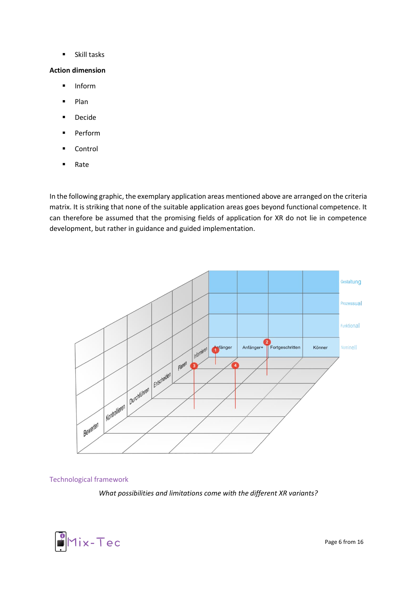■ Skill tasks

#### **Action dimension**

- Inform
- Plan
- Decide
- Perform
- Control
- Rate

In the following graphic, the exemplary application areas mentioned above are arranged on the criteria matrix. It is striking that none of the suitable application areas goes beyond functional competence. It can therefore be assumed that the promising fields of application for XR do not lie in competence development, but rather in guidance and guided implementation.



#### <span id="page-5-0"></span>Technological framework

*What possibilities and limitations come with the different XR variants?*

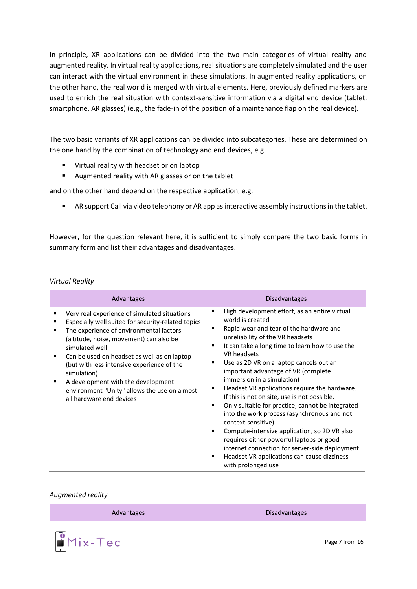In principle, XR applications can be divided into the two main categories of virtual reality and augmented reality. In virtual reality applications, real situations are completely simulated and the user can interact with the virtual environment in these simulations. In augmented reality applications, on the other hand, the real world is merged with virtual elements. Here, previously defined markers are used to enrich the real situation with context-sensitive information via a digital end device (tablet, smartphone, AR glasses) (e.g., the fade-in of the position of a maintenance flap on the real device).

The two basic variants of XR applications can be divided into subcategories. These are determined on the one hand by the combination of technology and end devices, e.g.

- Virtual reality with headset or on laptop
- Augmented reality with AR glasses or on the tablet

and on the other hand depend on the respective application, e.g.

■ AR support Call via video telephony or AR app as interactive assembly instructions in the tablet.

However, for the question relevant here, it is sufficient to simply compare the two basic forms in summary form and list their advantages and disadvantages.

#### <span id="page-6-0"></span>*Virtual Reality*

| Advantages                                                                                                                                                                                                                                                                                                                                                                                                                               | <b>Disadvantages</b>                                                                                                                                                                                                                                                                                                                                                                                                                                                                                                                                                                                                                                                                                                                                                                           |
|------------------------------------------------------------------------------------------------------------------------------------------------------------------------------------------------------------------------------------------------------------------------------------------------------------------------------------------------------------------------------------------------------------------------------------------|------------------------------------------------------------------------------------------------------------------------------------------------------------------------------------------------------------------------------------------------------------------------------------------------------------------------------------------------------------------------------------------------------------------------------------------------------------------------------------------------------------------------------------------------------------------------------------------------------------------------------------------------------------------------------------------------------------------------------------------------------------------------------------------------|
| Very real experience of simulated situations<br>Especially well suited for security-related topics<br>The experience of environmental factors<br>(altitude, noise, movement) can also be<br>simulated well<br>Can be used on headset as well as on laptop<br>(but with less intensive experience of the<br>simulation)<br>A development with the development<br>environment "Unity" allows the use on almost<br>all hardware end devices | High development effort, as an entire virtual<br>٠<br>world is created<br>Rapid wear and tear of the hardware and<br>unreliability of the VR headsets<br>It can take a long time to learn how to use the<br>VR headsets<br>Use as 2D VR on a laptop cancels out an<br>important advantage of VR (complete<br>immersion in a simulation)<br>Headset VR applications require the hardware.<br>If this is not on site, use is not possible.<br>Only suitable for practice, cannot be integrated<br>٠<br>into the work process (asynchronous and not<br>context-sensitive)<br>Compute-intensive application, so 2D VR also<br>٠<br>requires either powerful laptops or good<br>internet connection for server-side deployment<br>Headset VR applications can cause dizziness<br>with prolonged use |

#### <span id="page-6-1"></span>*Augmented reality*

Advantages Disadvantages Disadvantages



Page 7 from 16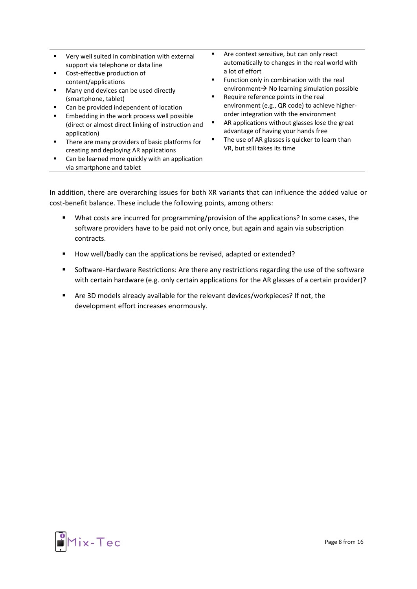| Very well suited in combination with external<br>support via telephone or data line<br>Cost-effective production of<br>$\blacksquare$<br>content/applications<br>Many end devices can be used directly<br>$\blacksquare$<br>(smartphone, tablet)<br>Can be provided independent of location<br>Embedding in the work process well possible<br>$\blacksquare$<br>(direct or almost direct linking of instruction and<br>application)<br>There are many providers of basic platforms for<br>$\blacksquare$<br>creating and deploying AR applications<br>Can be learned more quickly with an application<br>via smartphone and tablet | Are context sensitive, but can only react<br>automatically to changes in the real world with<br>a lot of effort<br>Function only in combination with the real<br>٠<br>environment $\rightarrow$ No learning simulation possible<br>Require reference points in the real<br>٠<br>environment (e.g., QR code) to achieve higher-<br>order integration with the environment<br>AR applications without glasses lose the great<br>advantage of having your hands free<br>The use of AR glasses is quicker to learn than<br>VR, but still takes its time |
|------------------------------------------------------------------------------------------------------------------------------------------------------------------------------------------------------------------------------------------------------------------------------------------------------------------------------------------------------------------------------------------------------------------------------------------------------------------------------------------------------------------------------------------------------------------------------------------------------------------------------------|-----------------------------------------------------------------------------------------------------------------------------------------------------------------------------------------------------------------------------------------------------------------------------------------------------------------------------------------------------------------------------------------------------------------------------------------------------------------------------------------------------------------------------------------------------|
|------------------------------------------------------------------------------------------------------------------------------------------------------------------------------------------------------------------------------------------------------------------------------------------------------------------------------------------------------------------------------------------------------------------------------------------------------------------------------------------------------------------------------------------------------------------------------------------------------------------------------------|-----------------------------------------------------------------------------------------------------------------------------------------------------------------------------------------------------------------------------------------------------------------------------------------------------------------------------------------------------------------------------------------------------------------------------------------------------------------------------------------------------------------------------------------------------|

In addition, there are overarching issues for both XR variants that can influence the added value or cost-benefit balance. These include the following points, among others:

- What costs are incurred for programming/provision of the applications? In some cases, the software providers have to be paid not only once, but again and again via subscription contracts.
- How well/badly can the applications be revised, adapted or extended?
- Software-Hardware Restrictions: Are there any restrictions regarding the use of the software with certain hardware (e.g. only certain applications for the AR glasses of a certain provider)?
- Are 3D models already available for the relevant devices/workpieces? If not, the development effort increases enormously.

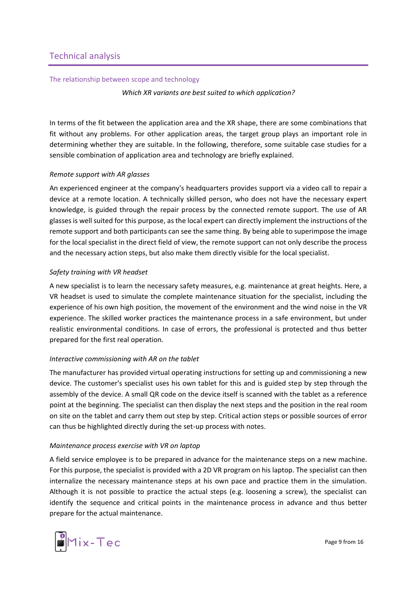#### <span id="page-8-1"></span><span id="page-8-0"></span>The relationship between scope and technology

*Which XR variants are best suited to which application?*

In terms of the fit between the application area and the XR shape, there are some combinations that fit without any problems. For other application areas, the target group plays an important role in determining whether they are suitable. In the following, therefore, some suitable case studies for a sensible combination of application area and technology are briefly explained.

## <span id="page-8-2"></span>*Remote support with AR glasses*

An experienced engineer at the company's headquarters provides support via a video call to repair a device at a remote location. A technically skilled person, who does not have the necessary expert knowledge, is guided through the repair process by the connected remote support. The use of AR glasses is well suited for this purpose, as the local expert can directly implement the instructions of the remote support and both participants can see the same thing. By being able to superimpose the image for the local specialist in the direct field of view, the remote support can not only describe the process and the necessary action steps, but also make them directly visible for the local specialist.

## <span id="page-8-3"></span>*Safety training with VR headset*

A new specialist is to learn the necessary safety measures, e.g. maintenance at great heights. Here, a VR headset is used to simulate the complete maintenance situation for the specialist, including the experience of his own high position, the movement of the environment and the wind noise in the VR experience. The skilled worker practices the maintenance process in a safe environment, but under realistic environmental conditions. In case of errors, the professional is protected and thus better prepared for the first real operation.

## <span id="page-8-4"></span>*Interactive commissioning with AR on the tablet*

The manufacturer has provided virtual operating instructions for setting up and commissioning a new device. The customer's specialist uses his own tablet for this and is guided step by step through the assembly of the device. A small QR code on the device itself is scanned with the tablet as a reference point at the beginning. The specialist can then display the next steps and the position in the real room on site on the tablet and carry them out step by step. Critical action steps or possible sources of error can thus be highlighted directly during the set-up process with notes.

## <span id="page-8-5"></span>*Maintenance process exercise with VR on laptop*

A field service employee is to be prepared in advance for the maintenance steps on a new machine. For this purpose, the specialist is provided with a 2D VR program on his laptop. The specialist can then internalize the necessary maintenance steps at his own pace and practice them in the simulation. Although it is not possible to practice the actual steps (e.g. loosening a screw), the specialist can identify the sequence and critical points in the maintenance process in advance and thus better prepare for the actual maintenance.

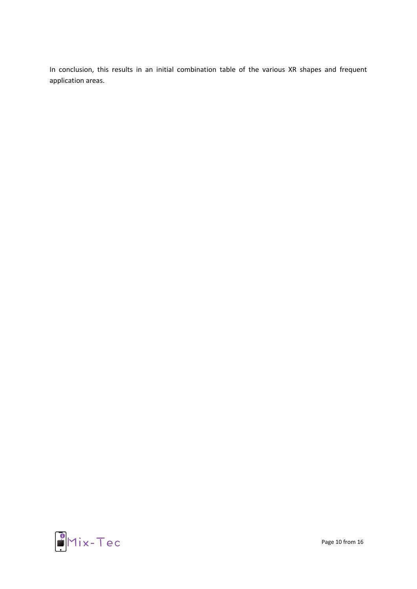In conclusion, this results in an initial combination table of the various XR shapes and frequent application areas.



Page 10 from 16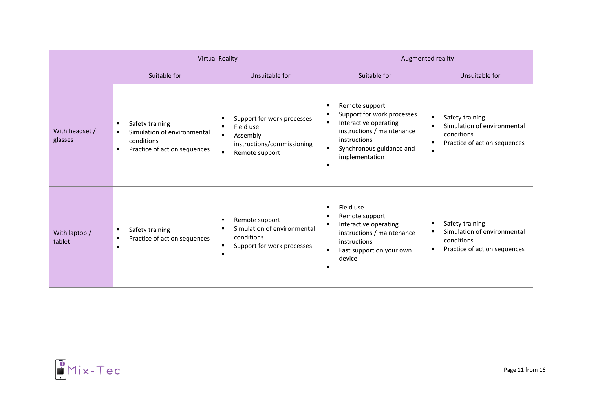|                           | <b>Virtual Reality</b>                                                                       |                                                                                                                                                                | Augmented reality                                                                                                                                                                             |                                                                                                                |
|---------------------------|----------------------------------------------------------------------------------------------|----------------------------------------------------------------------------------------------------------------------------------------------------------------|-----------------------------------------------------------------------------------------------------------------------------------------------------------------------------------------------|----------------------------------------------------------------------------------------------------------------|
|                           | Suitable for                                                                                 | Unsuitable for                                                                                                                                                 | Suitable for                                                                                                                                                                                  | Unsuitable for                                                                                                 |
| With headset /<br>glasses | Safety training<br>Simulation of environmental<br>conditions<br>Practice of action sequences | Support for work processes<br>٠<br>Field use<br>$\blacksquare$<br>Assembly<br>$\blacksquare$<br>instructions/commissioning<br>Remote support<br>$\blacksquare$ | Remote support<br>٠<br>Support for work processes<br>Interactive operating<br>٠<br>instructions / maintenance<br>instructions<br>Synchronous guidance and<br>$\blacksquare$<br>implementation | Safety training<br>Simulation of environmental<br>conditions<br>Practice of action sequences<br>$\blacksquare$ |
| With laptop /<br>tablet   | Safety training<br>Practice of action sequences                                              | Remote support<br>٠<br>Simulation of environmental<br>п<br>conditions<br>Support for work processes<br>٠<br>$\blacksquare$                                     | Field use<br>٠<br>Remote support<br>Interactive operating<br>٠<br>instructions / maintenance<br>instructions<br>Fast support on your own<br>$\blacksquare$<br>device                          | Safety training<br>Simulation of environmental<br>conditions<br>Practice of action sequences                   |

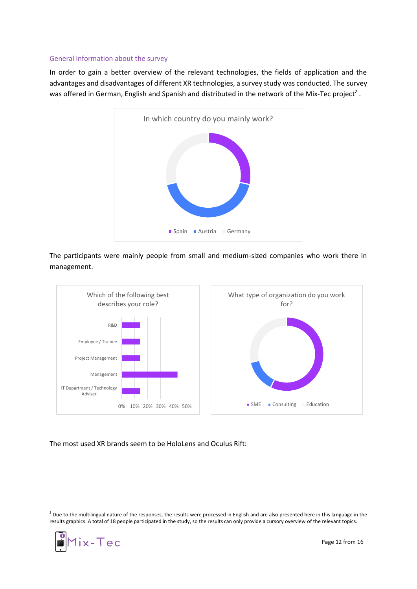#### <span id="page-11-0"></span>General information about the survey

In order to gain a better overview of the relevant technologies, the fields of application and the advantages and disadvantages of different XR technologies, a survey study was conducted. The survey was offered in German, English and Spanish and distributed in the network of the Mix-Tec project<sup>2</sup>.



The participants were mainly people from small and medium-sized companies who work there in management.



The most used XR brands seem to be HoloLens and Oculus Rift:

 $^2$  Due to the multilingual nature of the responses, the results were processed in English and are also presented here in this language in the results graphics. A total of 18 people participated in the study, so the results can only provide a cursory overview of the relevant topics.

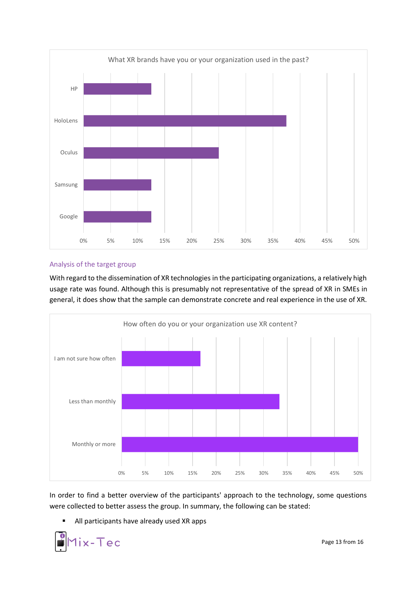

## <span id="page-12-0"></span>Analysis of the target group

With regard to the dissemination of XR technologies in the participating organizations, a relatively high usage rate was found. Although this is presumably not representative of the spread of XR in SMEs in general, it does show that the sample can demonstrate concrete and real experience in the use of XR.



In order to find a better overview of the participants' approach to the technology, some questions were collected to better assess the group. In summary, the following can be stated:

■ All participants have already used XR apps



Page 13 from 16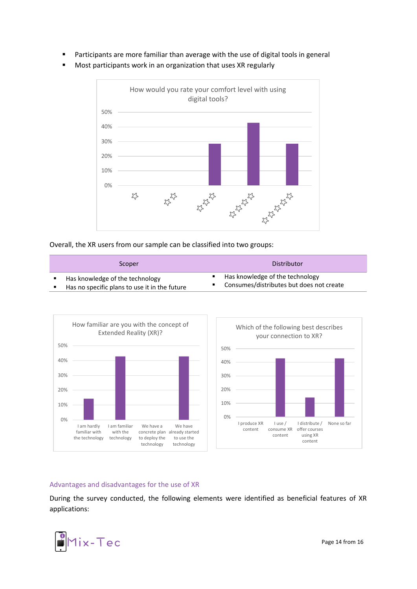- Participants are more familiar than average with the use of digital tools in general
- Most participants work in an organization that uses XR regularly



Overall, the XR users from our sample can be classified into two groups:

| Scoper                                        | Distributor                              |
|-----------------------------------------------|------------------------------------------|
| Has knowledge of the technology               | Has knowledge of the technology          |
| Has no specific plans to use it in the future | Consumes/distributes but does not create |



#### <span id="page-13-0"></span>Advantages and disadvantages for the use of XR

During the survey conducted, the following elements were identified as beneficial features of XR applications:



Page 14 from 16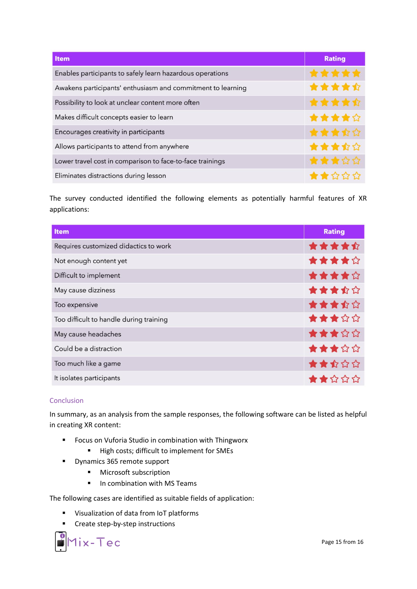| Item                                                        | <b>Rating</b> |
|-------------------------------------------------------------|---------------|
| Enables participants to safely learn hazardous operations   | *****         |
| Awakens participants' enthusiasm and commitment to learning | ★★★★☆         |
| Possibility to look at unclear content more often           | 食食食食食         |
| Makes difficult concepts easier to learn                    | ★★★★☆         |
| Encourages creativity in participants                       | ★★★☆☆         |
| Allows participants to attend from anywhere                 | ★★★☆☆         |
| Lower travel cost in comparison to face-to-face trainings   | ★★★☆☆         |
| Eliminates distractions during lesson                       | ★★☆☆☆         |

The survey conducted identified the following elements as potentially harmful features of XR applications:

| Item                                    | <b>Rating</b> |
|-----------------------------------------|---------------|
| Requires customized didactics to work   | *****         |
| Not enough content yet                  | ★★★★☆         |
| Difficult to implement                  | ★★★★☆         |
| May cause dizziness                     | ★★★☆☆         |
| Too expensive                           | ★★★☆☆         |
| Too difficult to handle during training | ★★★☆☆         |
| May cause headaches                     | ★★★☆☆         |
| Could be a distraction                  | ★★★☆☆         |
| Too much like a game                    | ★★☆☆☆         |
| It isolates participants                | ★★☆☆☆         |

## <span id="page-14-0"></span>Conclusion

In summary, as an analysis from the sample responses, the following software can be listed as helpful in creating XR content:

- Focus on Vuforia Studio in combination with Thingworx
	- High costs; difficult to implement for SMEs
- Dynamics 365 remote support
	- Microsoft subscription
	- In combination with MS Teams

The following cases are identified as suitable fields of application:

- Visualization of data from IoT platforms
- Create step-by-step instructions